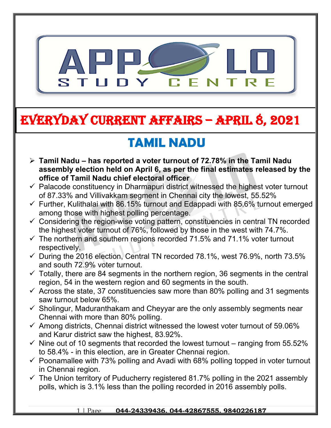

# **EVERYDAY CURRENT AFFAIRS – APRIL 8, 2021**

**-**

# **TAMIL NADU**

- **Tamil Nadu has reported a voter turnout of 72.78% in the Tamil Nadu assembly election held on April 6, as per the final estimates released by the office of Tamil Nadu chief electoral officer**
- $\checkmark$  Palacode constituency in Dharmapuri district witnessed the highest voter turnout of 87.33% and Villivakkam segment in Chennai city the lowest, 55.52%
- $\checkmark$  Further, Kulithalai with 86.15% turnout and Edappadi with 85.6% turnout emerged among those with highest polling percentage.
- $\checkmark$  Considering the region-wise voting pattern, constituencies in central TN recorded the highest voter turnout of 76%, followed by those in the west with 74.7%.
- $\checkmark$  The northern and southern regions recorded 71.5% and 71.1% voter turnout respectively.
- $\checkmark$  During the 2016 election, Central TN recorded 78.1%, west 76.9%, north 73.5% and south 72.9% voter turnout.
- $\checkmark$  Totally, there are 84 segments in the northern region, 36 segments in the central region, 54 in the western region and 60 segments in the south.
- $\checkmark$  Across the state, 37 constituencies saw more than 80% polling and 31 segments saw turnout below 65%.
- $\checkmark$  Sholingur, Maduranthakam and Cheyyar are the only assembly segments near Chennai with more than 80% polling.
- $\checkmark$  Among districts, Chennai district witnessed the lowest voter turnout of 59.06% and Karur district saw the highest, 83.92%.
- $\checkmark$  Nine out of 10 segments that recorded the lowest turnout ranging from 55.52% to 58.4% - in this election, are in Greater Chennai region.
- $\checkmark$  Poonamallee with 73% polling and Avadi with 68% polling topped in voter turnout in Chennai region.
- $\checkmark$  The Union territory of Puducherry registered 81.7% polling in the 2021 assembly polls, which is 3.1% less than the polling recorded in 2016 assembly polls.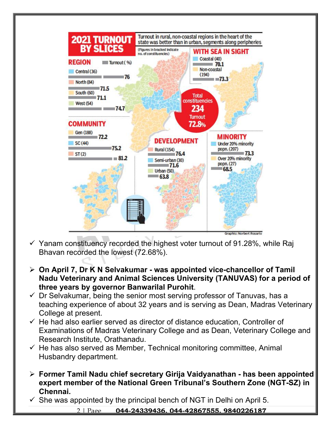

- $\checkmark$  Yanam constituency recorded the highest voter turnout of 91.28%, while Raj Bhavan recorded the lowest (72.68%).
- **On April 7, Dr K N Selvakumar was appointed vice-chancellor of Tamil Nadu Veterinary and Animal Sciences University (TANUVAS) for a period of three years by governor Banwarilal Purohit**.
- $\checkmark$  Dr Selvakumar, being the senior most serving professor of Tanuvas, has a teaching experience of about 32 years and is serving as Dean, Madras Veterinary College at present.
- $\checkmark$  He had also earlier served as director of distance education, Controller of Examinations of Madras Veterinary College and as Dean, Veterinary College and Research Institute, Orathanadu.
- $\checkmark$  He has also served as Member, Technical monitoring committee, Animal Husbandry department.
- **Former Tamil Nadu chief secretary Girija Vaidyanathan has been appointed expert member of the National Green Tribunal's Southern Zone (NGT-SZ) in Chennai.**
- $\checkmark$  She was appointed by the principal bench of NGT in Delhi on April 5.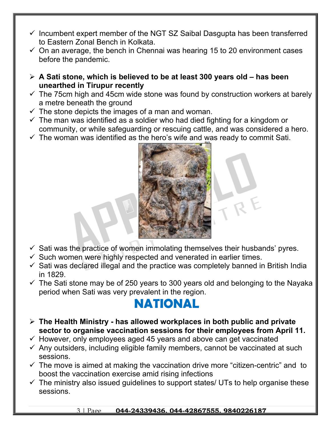- $\checkmark$  Incumbent expert member of the NGT SZ Saibal Dasgupta has been transferred to Eastern Zonal Bench in Kolkata.
- $\checkmark$  On an average, the bench in Chennai was hearing 15 to 20 environment cases before the pandemic.
- **A Sati stone, which is believed to be at least 300 years old has been unearthed in Tirupur recently**
- $\checkmark$  The 75cm high and 45cm wide stone was found by construction workers at barely a metre beneath the ground
- $\checkmark$  The stone depicts the images of a man and woman.
- $\checkmark$  The man was identified as a soldier who had died fighting for a kingdom or community, or while safeguarding or rescuing cattle, and was considered a hero.
- $\checkmark$  The woman was identified as the hero's wife and was ready to commit Sati.



- $\checkmark$  Sati was the practice of women immolating themselves their husbands' pyres.
- $\checkmark$  Such women were highly respected and venerated in earlier times.
- $\checkmark$  Sati was declared illegal and the practice was completely banned in British India in 1829.
- $\checkmark$  The Sati stone may be of 250 years to 300 years old and belonging to the Nayaka period when Sati was very prevalent in the region.

### **NATIONAL**

- **The Health Ministry has allowed workplaces in both public and private sector to organise vaccination sessions for their employees from April 11.**
- $\checkmark$  However, only employees aged 45 years and above can get vaccinated
- $\checkmark$  Any outsiders, including eligible family members, cannot be vaccinated at such sessions.
- $\checkmark$  The move is aimed at making the vaccination drive more "citizen-centric" and to boost the vaccination exercise amid rising infections
- $\checkmark$  The ministry also issued guidelines to support states/ UTs to help organise these sessions.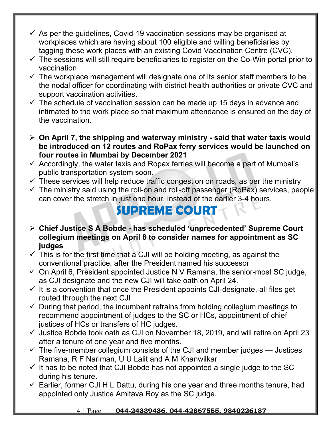- $\checkmark$  As per the guidelines, Covid-19 vaccination sessions may be organised at workplaces which are having about 100 eligible and willing beneficiaries by tagging these work places with an existing Covid Vaccination Centre (CVC).
- $\checkmark$  The sessions will still require beneficiaries to register on the Co-Win portal prior to vaccination
- $\checkmark$  The workplace management will designate one of its senior staff members to be the nodal officer for coordinating with district health authorities or private CVC and support vaccination activities.
- $\checkmark$  The schedule of vaccination session can be made up 15 days in advance and intimated to the work place so that maximum attendance is ensured on the day of the vaccination.
- **On April 7, the shipping and waterway ministry said that water taxis would be introduced on 12 routes and RoPax ferry services would be launched on four routes in Mumbai by December 2021**
- $\checkmark$  Accordingly, the water taxis and Ropax ferries will become a part of Mumbai's public transportation system soon.
- $\checkmark$  These services will help reduce traffic congestion on roads, as per the ministry
- $\checkmark$  The ministry said using the roll-on and roll-off passenger (RoPax) services, people can cover the stretch in just one hour, instead of the earlier 3-4 hours.

### **SUPREME COURT**

- **Chief Justice S A Bobde has scheduled 'unprecedented' Supreme Court collegium meetings on April 8 to consider names for appointment as SC judges**
- $\checkmark$  This is for the first time that a CJI will be holding meeting, as against the conventional practice, after the President named his successor
- $\checkmark$  On April 6, President appointed Justice N V Ramana, the senior-most SC judge, as CJI designate and the new CJI will take oath on April 24.
- $\checkmark$  It is a convention that once the President appoints CJI-designate, all files get routed through the next CJI
- $\checkmark$  During that period, the incumbent refrains from holding collegium meetings to recommend appointment of judges to the SC or HCs, appointment of chief justices of HCs or transfers of HC judges.
- $\checkmark$  Justice Bobde took oath as CJI on November 18, 2019, and will retire on April 23 after a tenure of one year and five months.
- $\checkmark$  The five-member collegium consists of the CJI and member judges Justices Ramana, R F Nariman, U U Lalit and A M Khanwilkar
- $\checkmark$  It has to be noted that CJI Bobde has not appointed a single judge to the SC during his tenure.
- $\checkmark$  Earlier, former CJI H L Dattu, during his one year and three months tenure, had appointed only Justice Amitava Roy as the SC judge.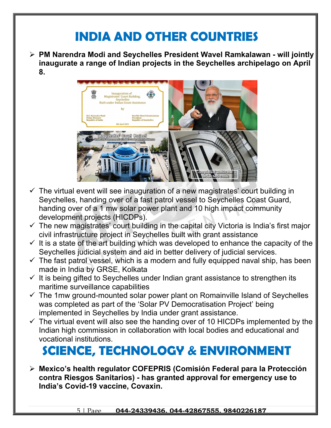## **INDIA AND OTHER COUNTRIES**

 **PM Narendra Modi and Seychelles President Wavel Ramkalawan - will jointly inaugurate a range of Indian projects in the Seychelles archipelago on April 8.**



- $\checkmark$  The virtual event will see inauguration of a new magistrates' court building in Seychelles, handing over of a fast patrol vessel to Seychelles Coast Guard, handing over of a 1 mw solar power plant and 10 high impact community development projects (HICDPs).
- $\checkmark$  The new magistrates' court building in the capital city Victoria is India's first major civil infrastructure project in Seychelles built with grant assistance
- $\checkmark$  It is a state of the art building which was developed to enhance the capacity of the Seychelles judicial system and aid in better delivery of judicial services.
- $\checkmark$  The fast patrol vessel, which is a modern and fully equipped naval ship, has been made in India by GRSE, Kolkata
- $\checkmark$  It is being gifted to Seychelles under Indian grant assistance to strengthen its maritime surveillance capabilities
- $\checkmark$  The 1mw ground-mounted solar power plant on Romainville Island of Seychelles was completed as part of the 'Solar PV Democratisation Project' being implemented in Seychelles by India under grant assistance.
- $\checkmark$  The virtual event will also see the handing over of 10 HICDPs implemented by the Indian high commission in collaboration with local bodies and educational and vocational institutions.

## **SCIENCE, TECHNOLOGY & ENVIRONMENT**

 **Mexico's health regulator COFEPRIS (Comisión Federal para la Protección contra Riesgos Sanitarios) - has granted approval for emergency use to India's Covid-19 vaccine, Covaxin.**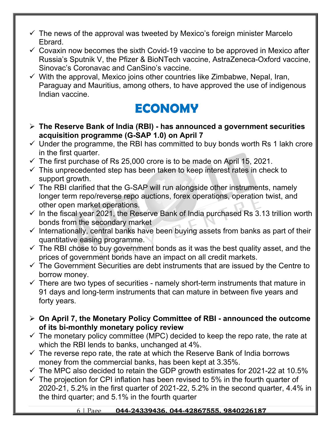- $\checkmark$  The news of the approval was tweeted by Mexico's foreign minister Marcelo Ebrard.
- $\checkmark$  Covaxin now becomes the sixth Covid-19 vaccine to be approved in Mexico after Russia's Sputnik V, the Pfizer & BioNTech vaccine, AstraZeneca-Oxford vaccine, Sinovac's Coronavac and CanSino's vaccine.
- $\checkmark$  With the approval, Mexico joins other countries like Zimbabwe, Nepal, Iran, Paraguay and Mauritius, among others, to have approved the use of indigenous Indian vaccine.

## **ECONOMY**

- **The Reserve Bank of India (RBI) has announced a government securities acquisition programme (G-SAP 1.0) on April 7**
- $\checkmark$  Under the programme, the RBI has committed to buy bonds worth Rs 1 lakh crore in the first quarter.
- $\checkmark$  The first purchase of Rs 25,000 crore is to be made on April 15, 2021.
- $\checkmark$  This unprecedented step has been taken to keep interest rates in check to support growth.
- $\checkmark$  The RBI clarified that the G-SAP will run alongside other instruments, namely longer term repo/reverse repo auctions, forex operations, operation twist, and other open market operations.
- $\checkmark$  In the fiscal year 2021, the Reserve Bank of India purchased Rs 3.13 trillion worth bonds from the secondary market
- $\checkmark$  Internationally, central banks have been buying assets from banks as part of their quantitative easing programme.
- $\checkmark$  The RBI chose to buy government bonds as it was the best quality asset, and the prices of government bonds have an impact on all credit markets.
- $\checkmark$  The Government Securities are debt instruments that are issued by the Centre to borrow money.
- $\checkmark$  There are two types of securities namely short-term instruments that mature in 91 days and long-term instruments that can mature in between five years and forty years.
- **On April 7, the Monetary Policy Committee of RBI announced the outcome of its bi-monthly monetary policy review**
- $\checkmark$  The monetary policy committee (MPC) decided to keep the repo rate, the rate at which the RBI lends to banks, unchanged at 4%.
- $\checkmark$  The reverse repo rate, the rate at which the Reserve Bank of India borrows money from the commercial banks, has been kept at 3.35%.
- $\checkmark$  The MPC also decided to retain the GDP growth estimates for 2021-22 at 10.5%
- $\checkmark$  The projection for CPI inflation has been revised to 5% in the fourth quarter of 2020-21, 5.2% in the first quarter of 2021-22, 5.2% in the second quarter, 4.4% in the third quarter; and 5.1% in the fourth quarter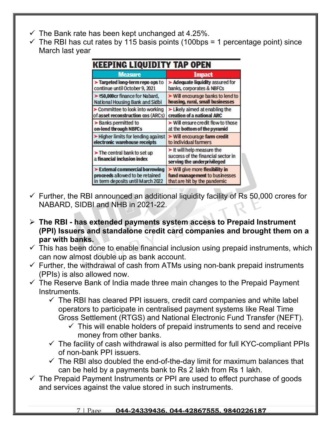- $\checkmark$  The Bank rate has been kept unchanged at 4.25%.
- $\checkmark$  The RBI has cut rates by 115 basis points (100bps = 1 percentage point) since March last year

| KEEPING LIQUIDITY TAP OPEN                                |                                                                                               |
|-----------------------------------------------------------|-----------------------------------------------------------------------------------------------|
| <b>Measure</b>                                            | <b>Impact</b>                                                                                 |
| > Targeted long-term repo ops to                          | Adequate liquidity assured for                                                                |
| continue until October 9, 2021                            | banks, corporates & NBFCs                                                                     |
| ▶ ₹50,000cr finance for Nabard,                           | $\triangleright$ Will encourage banks to lend to                                              |
| National Housing Bank and Sidbi                           | housing, rural, small businesses                                                              |
| > Committee to look into working                          | $\blacktriangleright$ Likely aimed at enabling the                                            |
| of asset reconstruction cos (ARCs)                        | creation of a national ARC                                                                    |
| > Banks permitted to                                      | $\triangleright$ Will ensure credit flow to those                                             |
| on-lend through NBFCs                                     | at the bottom of the pyramid                                                                  |
| > Higher limits for lending against                       | $\triangleright$ Will encourage farm credit                                                   |
| electronic warehouse receipts                             | to individual farmers                                                                         |
| The central bank to set up<br>a financial inclusion index | It will help measure the<br>success of the financial sector in<br>serving the underprivileged |
| External commercial borrowing                             | $\triangleright$ Will give more flexibility in                                                |
| proceeds allowed to be retained                           | fund management to businesses                                                                 |
| in term deposits until March 2022                         | that are hit by the pandemic                                                                  |

- $\checkmark$  Further, the RBI announced an additional liquidity facility of Rs 50,000 crores for NABARD, SIDBI and NHB in 2021-22.
- **The RBI has extended payments system access to Prepaid Instrument (PPI) Issuers and standalone credit card companies and brought them on a par with banks.**
- $\checkmark$  This has been done to enable financial inclusion using prepaid instruments, which can now almost double up as bank account.
- $\checkmark$  Further, the withdrawal of cash from ATMs using non-bank prepaid instruments (PPIs) is also allowed now.
- $\checkmark$  The Reserve Bank of India made three main changes to the Prepaid Payment Instruments.
	- $\checkmark$  The RBI has cleared PPI issuers, credit card companies and white label operators to participate in centralised payment systems like Real Time Gross Settlement (RTGS) and National Electronic Fund Transfer (NEFT).
		- $\checkmark$  This will enable holders of prepaid instruments to send and receive money from other banks.
	- $\checkmark$  The facility of cash withdrawal is also permitted for full KYC-compliant PPIs of non-bank PPI issuers.
	- $\checkmark$  The RBI also doubled the end-of-the-day limit for maximum balances that can be held by a payments bank to Rs 2 lakh from Rs 1 lakh.
- $\checkmark$  The Prepaid Payment Instruments or PPI are used to effect purchase of goods and services against the value stored in such instruments.